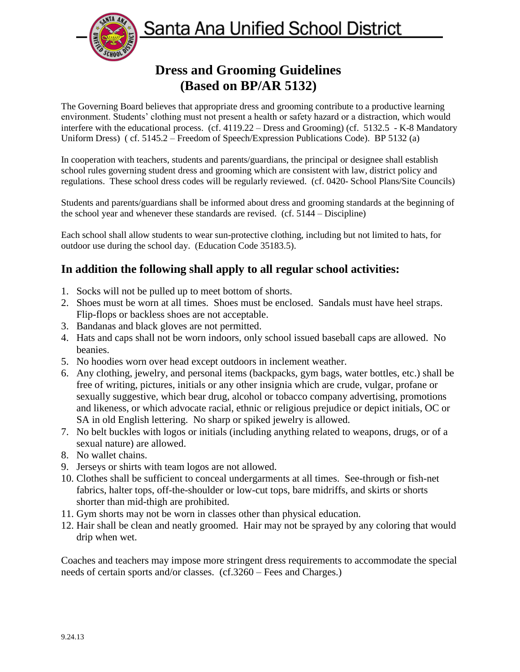Santa Ana Unified School District



# **Dress and Grooming Guidelines (Based on BP/AR 5132)**

The Governing Board believes that appropriate dress and grooming contribute to a productive learning environment. Students' clothing must not present a health or safety hazard or a distraction, which would interfere with the educational process. (cf. 4119.22 – Dress and Grooming) (cf. 5132.5 - K-8 Mandatory Uniform Dress) ( cf. 5145.2 – Freedom of Speech/Expression Publications Code). BP 5132 (a)

In cooperation with teachers, students and parents/guardians, the principal or designee shall establish school rules governing student dress and grooming which are consistent with law, district policy and regulations. These school dress codes will be regularly reviewed. (cf. 0420- School Plans/Site Councils)

Students and parents/guardians shall be informed about dress and grooming standards at the beginning of the school year and whenever these standards are revised. (cf. 5144 – Discipline)

Each school shall allow students to wear sun-protective clothing, including but not limited to hats, for outdoor use during the school day. (Education Code 35183.5).

## **In addition the following shall apply to all regular school activities:**

- 1. Socks will not be pulled up to meet bottom of shorts.
- 2. Shoes must be worn at all times. Shoes must be enclosed. Sandals must have heel straps. Flip-flops or backless shoes are not acceptable.
- 3. Bandanas and black gloves are not permitted.
- 4. Hats and caps shall not be worn indoors, only school issued baseball caps are allowed. No beanies.
- 5. No hoodies worn over head except outdoors in inclement weather.
- 6. Any clothing, jewelry, and personal items (backpacks, gym bags, water bottles, etc.) shall be free of writing, pictures, initials or any other insignia which are crude, vulgar, profane or sexually suggestive, which bear drug, alcohol or tobacco company advertising, promotions and likeness, or which advocate racial, ethnic or religious prejudice or depict initials, OC or SA in old English lettering. No sharp or spiked jewelry is allowed.
- 7. No belt buckles with logos or initials (including anything related to weapons, drugs, or of a sexual nature) are allowed.
- 8. No wallet chains.
- 9. Jerseys or shirts with team logos are not allowed.
- 10. Clothes shall be sufficient to conceal undergarments at all times. See-through or fish-net fabrics, halter tops, off-the-shoulder or low-cut tops, bare midriffs, and skirts or shorts shorter than mid-thigh are prohibited.
- 11. Gym shorts may not be worn in classes other than physical education.
- 12. Hair shall be clean and neatly groomed. Hair may not be sprayed by any coloring that would drip when wet.

Coaches and teachers may impose more stringent dress requirements to accommodate the special needs of certain sports and/or classes. (cf.3260 – Fees and Charges.)